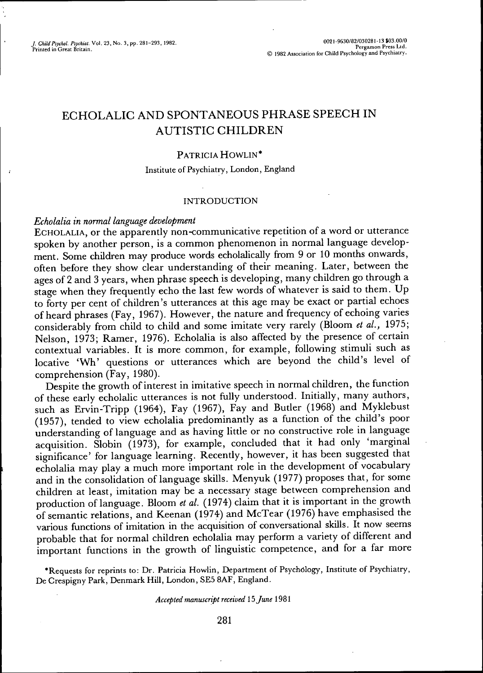/ *Child PsyM. Psychic.* Vol. 23. No. 3, pp. 281-293, 1982. ""^'"'""' ^ PerlTo n Pres^sUd"

# ECHOLALIC AND SPONTANEOUS PHRASE SPEECH IN AUTISTIC CHILDREN

### PATRICIA HOWLIN\*

### Institute of Psychiatry, London, England

## INTRODUCTION

#### *Echolalia in normal language development*

 $\mathbf{r}$ 

ECHOLALIA, or the apparently non-communicative repetition of a word or utterance spoken by another person, is a common phenomenon in normal language development. Some children may produce words echolalically from 9 or 10 months onwards, often before they show clear understanding of their meaning. Later, between the ages of 2 and 3 years, when phrase speech is developing, many children go through a stage when they frequently echo the last few words of whatever is said to them. Up to forty per cent of children's utterances at this age may be exact or partial echoes of heard phrases (Fay, 1967). However, the nature and frequency of echoing varies considerably from child to child and some imitate very rarely (Bloom *et al.,* 1975; Nelson, 1973; Ramer, 1976). Echolalia is also affected by the presence of certain contextual variables. It is more common, for example, following stimuli such as locative 'Wh' questions or utterances which are beyond the child's level of comprehension (Eay, 1980).

Despite the growth of interest in imitative speech in normal children, the function of these early echolalic utterances is not fully understood. Initially, many authors, such as Ervin-Tripp (1964), Fay (1967), Fay and Buder (1968) and Myklebust (1957), tended to view echolalia predominandy as a function of the child's poor understanding of language and as having little or no constructive role in language acquisition. Slobin (1973), for example, concluded that it had only 'marginal significance' for language learning. Recently, however, it has been suggested that echolalia may play a much more important role in the development of vocabulary and in the consolidation of language skills. Menyuk (1977) proposes that, for some children at least, imitation may be a necessary stage between comprehension and production oflanguage. Bloom *et al.* (1974) claim that it is important in the growth of semantic relations, and Keenan (1974) and McTear (1976) have emphasised the various functions of imitation in the acquisition of conversational skills. It now seems probable that for normal children echolalia may perform a variety of different and important functions in the growth of linguistic competence, and for a far more

•Requests for reprints to: Dr. Patricia Howlin, Department of Psychcilogy, Institute of Psychiatry, De Crespigny Park, Denmark Hill, London, SE5 8AF, England.

### *Accepted manuscript received 15 f une* 1981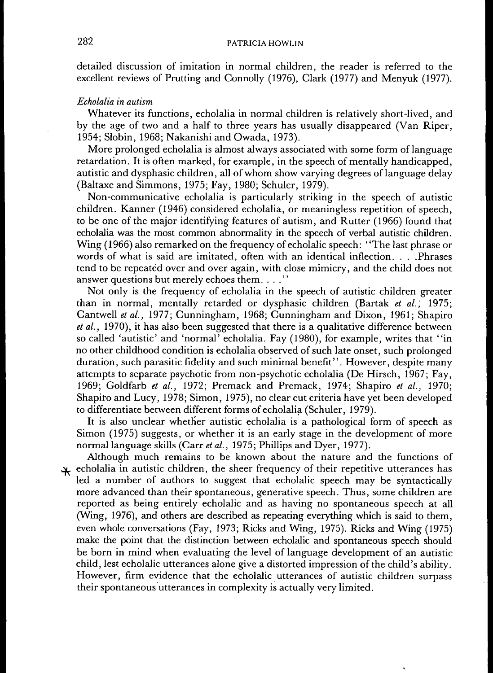detailed discussion of imitation in normal children, the reader is referred to the excellent reviews of Prutting and Connolly (1976), Clark (1977) and Menyuk (1977).

### *Echolalia in autism*

Whatever its functions, echolalia in normal children is relatively short-lived, and by the age of two and a half to three years has usually disappeared (Van Riper, 1954; Slobin, 1968; Nakanishi and Owada, 1973).

More prolonged echolalia is almost always associated with some form of language retardation. It is often marked, for example, in the speech of mentally handicapped, autistic and dysphasic children, all of whom show varying degrees oflanguage delay (Baltaxe and Simmons, 1975; Fay, 1980; Schuler, 1979).

Non-communicative echolalia is particularly striking in the speech of autistic children. Kanner (1946) considered echolalia, or meaningless repetition of speech, to be one of the major identifying features of autism, and Rutter (1966) found that echolalia was the most common abnormality in the speech of verbal autistic children. Wing (1966) also remarked on the frequency of echolalic speech: "The last phrase or words of what is said are imitated, often with an identical inflection. . . . .Phrases tend to be repeated over and over again, with close mimicry, and the child does not answer questions but merely echoes them. . . ."

Not only is the frequency of echolalia in the speech of autistic children greater than in normal, mentally retarded or dysphasic children (Bartak *et al.,* 1975; Cantwell *et al.,* 1977; Cunningham, 1968; Cunningham and Dixon, 1961; Shapiro *et al.,* 1970), it has also been suggested that there is a qualitative difference between so called 'autistic' and 'normal' echolalia. Fay (1980), for example, writes that "in no other childhood condition is echolalia observed of such late onset, such prolonged duration, such parasitic fidelity and such minimal benefit". However, despite many attempts to separate psychotic from non-psychotic echolalia (De Hirsch, 1967; Fay, 1969; Goldfarb *et al.,* 1972; Premack and Premack, 1974; Shapiro *et al.,* 1970; Shapiro and Lucy, 1978; Simon, 1975), no clear cut criteria have yet been developed to differentiate between different forms of echolalia (Schuler, 1979).

It is also unclear whether autistic echolalia is a pathological form of speech as Simon (1975) suggests, or whether it is an early stage in the development of more normal language skills (Carr *et al.,* 1975; Phillips and Dyer, 1977).

Although much remains to be known about the nature and the functions of  $\mu$  echolalia in autistic children, the sheer frequency of their repetitive utterances has led a number of authors to suggest that echolalic speech may be syntactically more advanced than their spontaneous, generative speech. Thus, some children are reported as being entirely echolalic and as having no spontaneous speech at all (Wing, 1976), and others are described as repeating everything which is said to them, even whole conversations (Fay, 1973; Ricks and Wing, 1975). Ricks and Wing (1975) make the point that the distinction between echolalic and spontaneous speech should be born in mind when evaluating the level of language development of an autistic child, lest echolalic utterances alone give a distorted impression of the child's ability. However, firm evidence that the echolalic utterances of autistic children surpass their spontaneous utterances in complexity is actually very limited.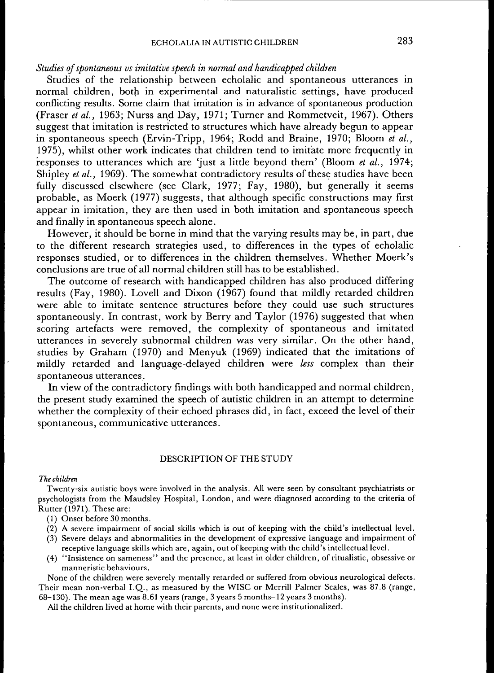### *Studies of spontaneous vs imitative speech in normal and handicapped children*

Studies of the relationship between echolalic and spontaneous utterances in normal children, both in experimental and naturalistic settings, have produced conflicting results. Some claim that imitation is in advance of spontaneous production (Fraser *et al.,* 1963; Nurss and Day, 1971; Turner and Rommetveit, 1967). Others suggest that imitation is restricted to structures which have already begun to appear in spontaneous speech (Ervin-Tripp, 1964; Rodd and Braine, 1970; Bloom *et al.,* 1975), whilst other work indicates that children tend to imitate more frequently in responses to utterances which are 'just a little beyond them' (Bloom *et al.,* 1974; Shipley *et al.,* 1969). The somewhat contradictory results of these studies have been fully discussed elsewhere (see Clark, 1977; Fay, 1980), but generally it seems probable, as Moerk (1977) suggests, that although specific constructions may first appear in imitation, they are then used in both imitation and spontaneous speech and finally in spontaneous speech alone.

However, it should be borne in mind that the varying results may be, in part, due to the different research strategies used, to differences in the types of echolalic responses studied, or to differences in the children themselves. Whether Moerk's conclusions are true of all normal children still has to be established.

The outcome of research with handicapped children has also produced differing results (Fay, 1980). Lovell and Dixon (1967) found that mildly retarded children were able to imitate sentence structures before they could use such structures spontaneously. In contrast, work by Berry and Taylor (1976) suggested that when scoring artefacts were removed, the complexity of spontaneous and imitated utterances in severely subnormal children was very similar. On the other hand, studies by Graham (1970) and Menyuk (1969) indicated that the imitations of mildly retarded and language-delayed children were *less* complex than their spontaneous utterances.

In view of the contradictory findings with both handicapped and normal children, the present study examined the speech of autistic children in an attempt to determine whether the complexity of their echoed phrases did, in fact, exceed the level of their spontaneous, communicative utterances.

### DESCRIPTION OF THE STUDY

### *The children*

Twenty-six autistic boys were involved in the analysis. All were seen by consultant psychiatrists or psychologists from the Maudsley Hospital, London, and were diagnosed according to the criteria of Rutter (1971). These are:

- (1) Onset before 30 months.
- (2) A severe impairment of social skills which is out of keeping with the child's intellectual level.
- (3) Severe delays and abnormalities in the development of expressive language and impairment of receptive language skills which are, again, out of keeping with the child's intellectual level.
- (4) "Insistence on sameness" and the presence, at least in older children, of ritualistic, obsessive or manneristic behaviours.

None of the children were severely mentally retarded or suffered from obvious neurological defects. Their mean non-verbal I.Q., as measured by the WISC or Merrill Palmer Scales, was 87.8 (range, 68-130). The mean age was 8.61 years (range, 3 years 5 months-12 years 3 months).

All the children lived at home with their parents, and none were institutionalized.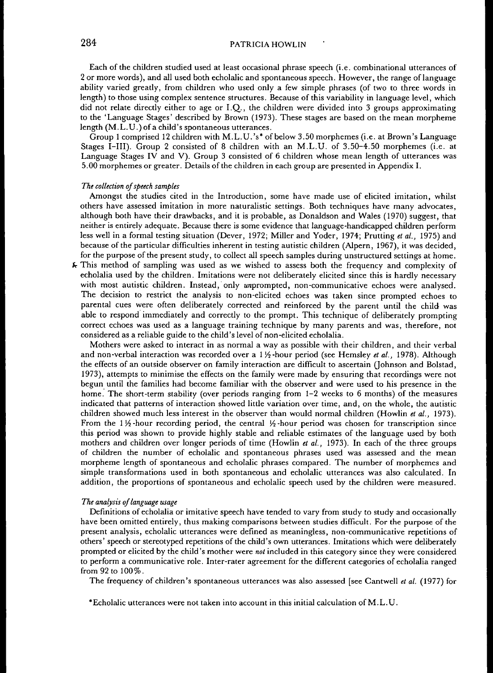## 284 **PATRICIA HOWLIN**

Each of the children studied used at least occasional phrase speech (i.e. combinational utterances of 2 or more words), and all used both echolalic and spontaneous speech. However, the range oflanguage ability varied greatly, from children who used only a few simple phrases (of two to three words in length) to those using complex sentence structures. Because of this variability in language level, which did not relate directly either to age or I.Q,., the children were divided into 3 groups approximating to the 'Language Stages' described by Brown (1973). These stages are based on the mean morpheme length (M.L.U.) of a child's spontaneous utterances.

Group 1 comprised 12 children with M.L.U.'s\* of below 3.50 morphemes (i.e. at Brown's Language Stages I-III). Group 2 consisted of 8 children with an M.L.U. of 3.50-4.50 morphemes (i.e. at Language Stages IV and V). Group 3 consisted of 6 children whose mean length of utterances was 5.00 morphemes or greater. Details of the children in each group are presented in Appendix I.

#### *The collection of speech samples*

Amongst the studies cited in the Introduction, some have made use of elicited imitation, whilst others have assessed imitation in more naturalistic settings. Both techniques have many advocates, Eilthough both have their drawbacks, and it is probable, as Donaldson and Wales (1970) suggest, that neither is entirely adequate. Because there is some evidence that language-handicapped children perform less well in a formal testing situation (Dever, 1972; Miller and Yoder, 1974; Prutting *et al.,* 1975) and because of the particular difficulties inherent in testing autistic children (Aipern, 1967), it was decided, for the purpose of the present study, to collect all speech samples during unstructured settings at home.

This method of sampling was used as we wished to assess both the frequency and complexity of echolalia used by the children. Imitations were not deliberately elicited since this is hardly necessary with most autistic children. Instead, only unprompted, non-communicative echoes were analysed. The decision to restrict the analysis to non-elicited echoes was taken since prompted echoes to parental cues were often deliberately corrected and reinforced by the parent until the child was able to respond immediately and correctly to the prompt. This technique of deliberately prompting correct echoes was used as a language training technique by many parents and was, therefore, not considered as a reliable guide to the child's level of non-elicited echolalia.

Mothers were asked to interact in as normal a way as possible with their children, and their verbal and non-verbal interaction was recorded over a 1<sup>1</sup>/<sub>2</sub>-hour period (see Hemsley *et al.,* 1978). Although the effects of an outside observer on family interaction are difficult to ascertain (Johnson and Bolstad, 1973), attempts to minimise the effects on the family were made by ensuring that recordings were not begun until the families had become familiar with the observer and were used to his presence in the home. The short-term stability (over periods ranging from 1-2 weeks to 6 months) of the measures indicated that patterns of interaction showed little variation over time, and, on the whole, the autistic children showed much less interest in the observer than would normal children (Howlin *et al.,* 1973). From the 1 $\frac{1}{2}$ -hour recording period, the central  $\frac{1}{2}$ -hour period was chosen for transcription since this period was shown to provide highly stable and reliable estimates of the language used by both mothers and children over longer periods of time (Howlin *et al.,* 1973). In each of the three groups of children the number of echolalic and spontaneous phrases used was assessed and the mean morpheme length of spontaneous and echolalic phrases compared. The number of morphemes and simple transformations used in both spontaneous and echolalic utterances was also calculated. In addition, the proportions of spontaneous and echolalic speech used by the children were measured.

#### *The analysis oflanguage usage*

Definitions of echolalia or imitative speech have tended to vary from study to study and occasionally have been omitted entirely, thus making comparisons between studies difficult. For the purpose of the present analysis, echolalic utterances were defined as meaningless, non-communicative repetitions of others' speech or stereotyped repetitions of the child's own utterances. Imitations which were deliberately prompted or elicited by the child's mother were *not* included in this category since they were considered to perform a communicative role. Inter-rater agreement for the different categories of echolalia ranged from 92 to 100%.

The frequency of children's spontaneous utterances was also assessed [see Cantwell *et al.* (1977) for

'Echolalic utterances were not taken into account in this initial calculation of M.L.U.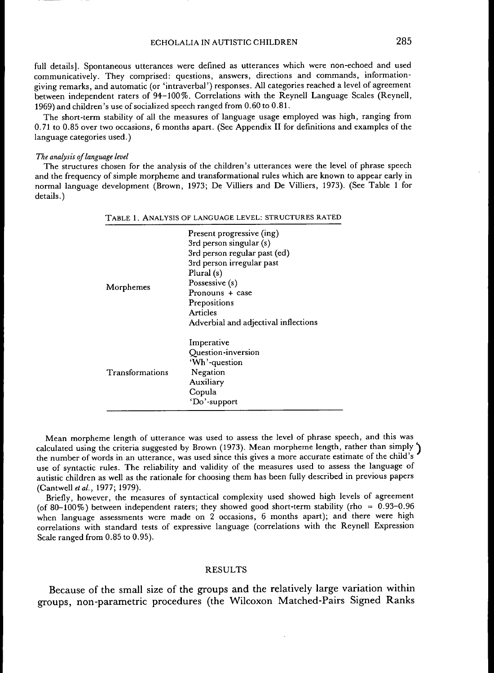full details]. Spontaneous utterances were defmed as utterances which were non-echoed and used communicatively. They comprised: questions, answers, directions and commands, informationgiving remarks, and automatic (or 'intraverbal') responses. All categories reached a level of agreement between independent raters of 94-100%. Gorrelations with the Reynell Language Scales (Reynell, 1969) and children's use of socialized speech ranged from 0.60 to 0.81.

The short-term stability of all the measures of language usage employed was high, ranging from 0.71 to 0.85 over two occasions, 6 months apart. (See Appendix II for definitions and examples of the language categories used.)

#### *The analysis oflanguage level*

The structures chosen for the analysis of the children's utterances were the level of phrase speech and the frequency of simple morpheme and transformational rules which are known to appear early in normal language development (Brown, 1973; De Villiers and De Villiers, 1973). (See Table 1 for details.)

|                 | TABLE 1. ANALYSIS OF LANGUAGE LEVEL: STRUCTURES RATED                                                                                                                                                                                      |
|-----------------|--------------------------------------------------------------------------------------------------------------------------------------------------------------------------------------------------------------------------------------------|
| Morphemes       | Present progressive (ing)<br>3rd person singular $(s)$<br>3rd person regular past (ed)<br>3rd person irregular past<br>Plural (s)<br>Possessive (s)<br>Pronouns + case<br>Prepositions<br>Articles<br>Adverbial and adjectival inflections |
| Transformations | Imperative<br><b>Ouestion-inversion</b><br>'Wh'-question<br>Negation<br>Auxiliary<br>Copula<br>'Do'-support                                                                                                                                |

Mean morpheme length of utterance was used to assess the level of phrase speech, and this was calculated using the criteria suggested by Brown (1973). Mean morpheme length, rather than simply  $\hat{ }$ the number of words in an utterance, was used since this gives a more accurate estimate of the child's use of syntactic rules. The reliability and validity of the measures used to assess the language of autistic children as well as the rationale for choosing them has been fully described in previous papers (Cantwell et al., 1977; 1979).

Briefiy, however, the measures of syntactical complexity used showed high levels of agreement (of 80-100%) between independent raters; they showed good short-term stability (rho =  $0.93-0.96$ when language assessments were made on 2 occasions, 6 months apart); and there were high correlations with standard tests of expressive language (correlations with the Reynell Expression Scale ranged from 0.85 to 0.95).

#### RESULTS

Because of the small size of the groups and the relatively large variation within groups, non-parametric procedures (the Wilcoxon Matched-Pairs Signed Ranks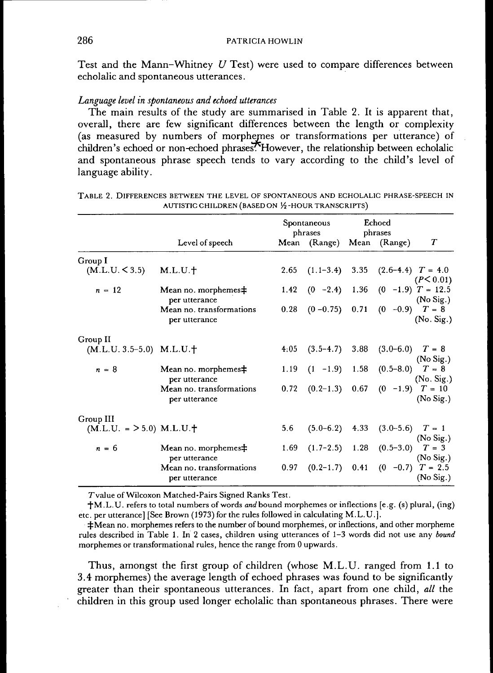Test and the Mann-Whitney *U* Test) were used to compare differences between echolalic and spontaneous utterances.

## *Language level in spontaneous and echoed utterances*

The main results of the study are summarised in Table 2. It is apparent that, overall, there are few significant differences between the length or complexity (as measured by numbers of morphemes or transformations per utterance) of children's echoed or non-echoed phrases. However, the relationship between echolalic and spontaneous phrase speech tends to vary according to the child's level of language ability.

|                              |                                           | Spontaneous<br>phrases |                                            | Echoed<br>phrases |                                        |            |
|------------------------------|-------------------------------------------|------------------------|--------------------------------------------|-------------------|----------------------------------------|------------|
|                              | Level of speech                           |                        | Mean (Range) Mean (Range)                  |                   |                                        | T          |
| Group I                      |                                           |                        |                                            |                   |                                        |            |
| (M.L.U. < 3.5)               | M.L.U.f                                   | 2.65                   |                                            |                   | $(1.1-3.4)$ 3.35 $(2.6-4.4)$ $T = 4.0$ | (P< 0.01)  |
| $n = 12$                     | Mean no. morphemes $\pm$<br>per utterance |                        | 1.42 $(0 -2.4)$ 1.36 $(0 -1.9)$ $T = 12.5$ |                   |                                        | (No Sig.)  |
|                              | Mean no. transformations<br>per utterance | 0.28                   |                                            |                   | $(0 - 0.75)$ 0.71 $(0 - 0.9)$ $T = 8$  | (No. Sig.) |
| Group II                     |                                           |                        |                                            |                   |                                        |            |
| $(M.L.U. 3.5-5.0)$ $M.L.U.†$ |                                           | 4:05                   |                                            |                   | $(3.5-4.7)$ 3.88 $(3.0-6.0)$ $T = 8$   | (No Sig.)  |
| $n = 8$                      | Mean no. morphemes#<br>per utterance      |                        | 1.19 $(1 -1.9)$ 1.58 $(0.5-8.0)$ $T = 8$   |                   |                                        | (No. Sig.) |
|                              | Mean no. transformations<br>per utterance | 0.72                   |                                            |                   | $(0.2-1.3)$ 0.67 $(0 -1.9)$ $T = 10$   | (No Sig.)  |
| Group III                    |                                           |                        |                                            |                   |                                        |            |
| $(M.L.U. = > 5.0) M.L.U.$    |                                           | 5.6                    |                                            |                   | $(5.0-6.2)$ 4.33 $(3.0-5.6)$ $T = 1$   | (No Sig.)  |
| $n = 6$                      | Mean no. morphemes#<br>per utterance      | 1.69                   |                                            |                   | $(1.7-2.5)$ 1.28 $(0.5-3.0)$ $T = 3$   | (No Sig.)  |
|                              | Mean no. transformations<br>per utterance | 0.97                   |                                            |                   | $(0.2-1.7)$ 0.41 $(0 -0.7)$ T = 2.5    | (No Sig.)  |

| TABLE 2. DIFFERENCES BETWEEN THE LEVEL OF SPONTANEOUS AND ECHOLALIC PHRASE-SPEECH IN |  |
|--------------------------------------------------------------------------------------|--|
| AUTISTIC CHILDREN (BASED ON 1/2 - HOUR TRANSCRIPTS)                                  |  |

Tvalue of Wilcoxon Matched-Pairs Signed Ranks Test.

 $+M.L.U.$  refers to total numbers of words *and* bound morphemes or inflections [e.g. (s) plural, (ing) etc. per utterance] [See Brown (1973) for the rules followed in calculating M.L.U.].

 $\pm$ Mean no. morphemes refers to the number of bound morphemes, or inflections, and other morpheme rules described in Table 1. In 2 cases, children using utterances of 1-3 words did not use any *bound* morphemes or transformational rules, hence the range from 0 upwards.

Thus, amongst the first group of children (whose M.L.U. ranged from 1.1 to 3.4 morphemes) the average length of echoed phrases was found to be significantly greater than their spontaneous utterances. In fact, apart from one child, *all* the children in this group used longer echolalic than spontaneous phrases. There were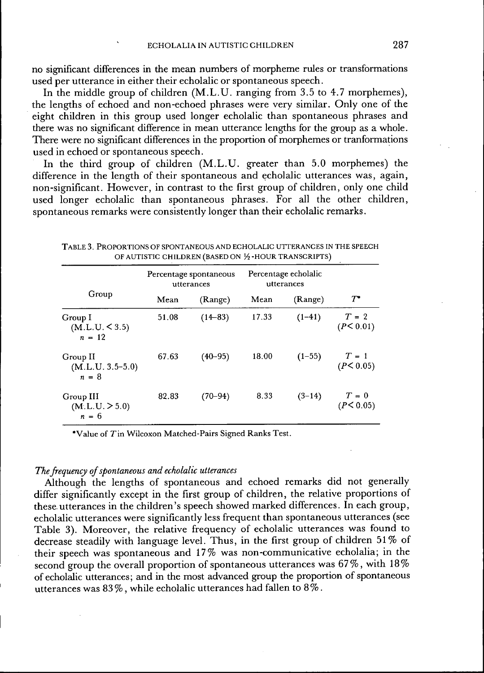no significant differences in the mean numbers of morpheme rules or transformations used per utterance in either their echolalic or spontaneous speech.

In the middle group of children  $(M.L.U.$  ranging from 3.5 to 4.7 morphemes), the lengths of echoed and non-echoed phrases were very similar. Only one of the eight children in this group used longer echolalic than spontaneous phrases and there was no significant difference in mean utterance lengths for the group as a whole. There were no significant differences in the proportion of morphemes or tranformations used in echoed or spontaneous speech.

In the third group of children (M.L.U. greater than 5.0 morphemes) the difference in the length of their spontaneous and echolalic utterances was, again, non-significant. However, in contrast to the first group of children, only one child used longer echolalic than spontaneous phrases. For all the other children, spontaneous remarks were consistently longer than their echolalic remarks.

|                                           | Percentage spontaneous<br>utterances |             | Percentage echolalic<br>utterances |          |                      |  |
|-------------------------------------------|--------------------------------------|-------------|------------------------------------|----------|----------------------|--|
| Group                                     | Mean                                 | (Range)     | Mean                               | (Range)  | $\tau\cdot$          |  |
| Group I<br>(M.L.U.< 3.5)<br>$n = 12$      | 51.08                                | $(14 - 83)$ | 17.33                              | $(1-41)$ | $T = 2$<br>(P< 0.01) |  |
| Group II<br>$(M.L.U. 3.5-5.0)$<br>$n = 8$ | 67.63                                | $(40 - 95)$ | 18.00                              | $(1-55)$ | $T = 1$<br>(P< 0.05) |  |
| Group III<br>(M.L.U. > 5.0)<br>$n = 6$    | 82.83                                | $(70 - 94)$ | 8.33                               | $(3-14)$ | $T = 0$<br>(P< 0.05) |  |

TABLE 3. PROPORTIONS OF SPONTANEOUS AND ECHOLALIC UTTERANCES IN THE SPEECH OF AUTISTIC CHILDREN (BASED ON  $\frac{1}{2}$ -HOUR TRANSCRIPTS)

'Value of 7"in Wilcoxon Matched-Pairs Signed Ranks Test.

## *The frequency of spontaneous and echolalic utterances*

Although the lengths of spontaneous and echoed remarks did not generally differ significantly except in the first group of children, the relative proportions of these utterances in the children's speech showed marked differences. In each group, echolalic utterances were significantly less frequent than spontaneous utterances (see Table 3). Moreover, the relative frequency of echolalic utterances was found to decrease steadily with language level. Thus, in the first group of children 51% of their speech was spontaneous and 17% was non-communicative echolalia; in the second group the overall proportion of spontaneous utterances was 67%, with 18% of echolalic utterances; and in the most advanced group the proportion of spontaneous utterances was 83 %, while echolalic utterances had fallen to 8 %.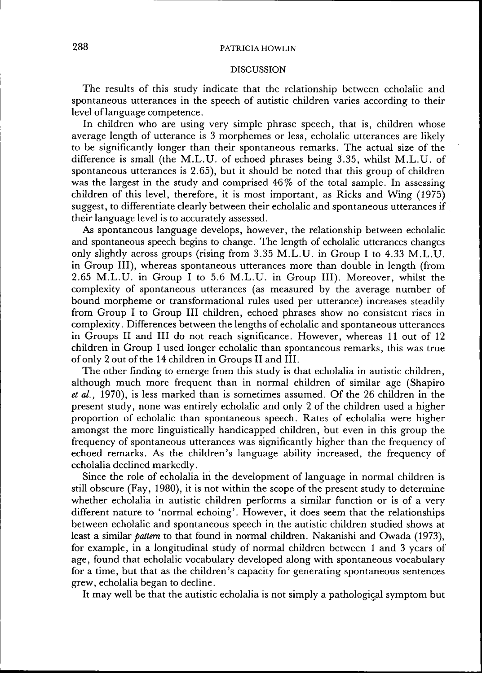## 288 PATRICIA HOWLIN

#### DISCUSSION

The results of this study indicate that the relationship between echolalic and spontaneous utterances in the speech of autistic children varies according to their level of language competence.

In children who are using very simple phrase speech, that is, children whose average length of utterance is 3 morphemes or less, echolalic utterances are likely to be significantly longer than their spontaneous remarks. The actual size of the difference is small (the M.L.U. of echoed phrases being 3.35, whilst M.L.U. of spontaneous utterances is 2.65), but it should be noted that this group of children was the largest in the study and comprised  $46\%$  of the total sample. In assessing children of this level, therefore, it is most important, as Ricks and Wing (1975) suggest, to differentiate clearly between their echolalic and spontaneous utterances if their language level is to accurately assessed.

As spontaneous language develops, however, the relationship between echolalic and spontaneous speech begins to change. The length of echolalic utterances changes only slightly across groups (rising from 3.35 M.L.U. in Group I to 4.33 M.L.U. in Group III), whereas spontaneous utterances more than double in length (from 2.65 M.L.U. in Group I to 5.6 M.L.U. in Group III). Moreover, whilst the complexity of spontaneous utterances (as measured by the average number of bound morpheme or transformational rules used per utterance) increases steadily from Group I to Group III children, echoed phrases show no consistent rises in complexity. Differences between the lengths of echolalic and spontaneous utterances in Groups II and III do not reach significance. However, whereas 11 out of 12 children in Group I used longer echolalic than spontaneous remarks, this was true of only 2 out of the 14 children in Groups II and III.

The other finding to emerge from this study is that echolalia in autistic children, although much more frequent than in normal children of similar age (Shapiro et al., 1970), is less marked than is sometimes assumed. Of the 26 children in the present study, none was entirely echolalic and only 2 of the children used a higher proportion of echolalic than spontaneous speech. Rates of echolalia were higher amongst the more linguistically handicapped children, but even in this group the frequency of spontaneous utterances was significantly higher than the frequency of echoed remarks. As the children's language ability inereased, the frequency of echolalia declined markedly.

Since the role of echolalia in the development of language in normal children is still obscure (Fay, 1980), it is not within the scope of the present study to determine whether echolalia in autistic children performs a similar function or is of a very different nature to 'normal echoing'. However, it does seem that the relationships between echolalic and spontaneous speech in the autistic children studied shows at least a similar *pattern* to that found in normal children. Nakanishi and Owada (1973), for example, in a longitudinal study of normal children between 1 and 3 years of age, found that echolalic vocabulary developed along with spontaneous vocabulary for a time, but that as the children's capacity for generating spontaneous sentences grew, echolalia began to decline.

It may well be that the autistic echolalia is not simply a pathological symptom but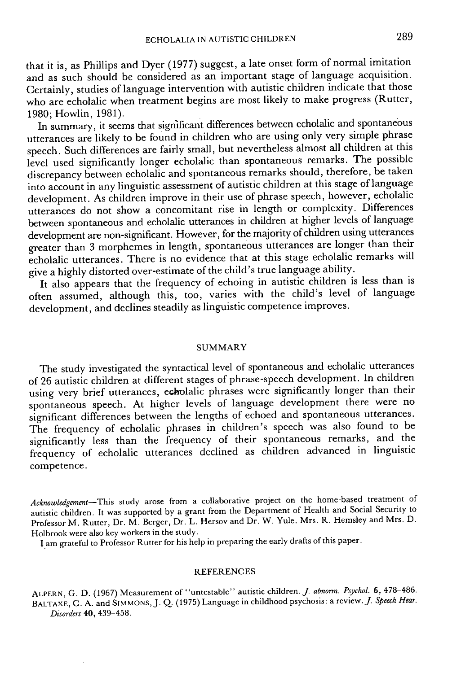that it is, as Phillips and Dyer (1977) suggest, a late onset form of normal imitadon and as such should be considered as an important stage of language acquisition. Gertainly, studies of language intervention with autistic children indicate that those who are echolalic when treatment begins are most likely to make progress (Rutter, 1980; Howlin, 1981).

In summary, it seems that significant differences between echolalic and spontaneous utterances are likely to be found in children who are using only very simple phrase speech. Such differences are fairly small, but nevertheless almost all children at this level used significantly longer echolalic than spontaneous remarks. The possible discrepancy between echolalic and spontaneous remarks should, therefore, be taken into account in any linguistic assessment of autistic children at this stage of language development. As children improve in their use of phrase speech, however, echolalic utterances do not show a concomitant rise in length or complexity. Differences between spontaneous and echolalic utterances in children at higher levels of language development are non-significant. However, for die majority of children using utterances greater than 3 morphemes in length, spontaneous utterances are longer than their echolalic utterances. There is no evidence that at this stage echolalic remarks will give a highly distorted over-estimate of the child's true language ability.

It also appears that the frequency of echoing in autistic children is less than is often assumed, although this, too, varies with the child's level of language development, and declines steadily as linguistic competence improves.

#### SUMMARY

The study investigated the syntactical level of spontaneous and echolalic utterances of 26 autistic children at different stages of phrase-speech development. In children using very brief utterances, echolalic phrases were significantly longer than their spontaneous speech. At higher levels of language development there were no significant differences between the lengths of echoed and spontaneous utterances. The frequency of echolalic phrases in children's speech was also found to be significandy less than the frequency of their spontaneous remarks, and the frequency of echolalic utterances declined as children advanced in linguistic competence.

*Acknowledgement—This* study arose from a collaborative project on the home-based treatment of autistic children. It was supported by a grant from the Department of Health and Social Security to Professor M. Rutter, Dr. M. Berger, Dr. L. Hersov and Dr. W. Yule. Mrs. R. Hemsley and Mrs. D. Holbrook were also key workers in the study.

I am grateful to Professor Rutter for his help in preparing the early drafts of this paper.

#### REFERENCES

ALPERN, G. D. (1967) Measurement of "untestable" autistic children. *J. abnorm. Psychol.* 6, 478-486. BALTAXE, C. A. and SIMMONS, J. Q. (1975) Language in childhood psychosis: a review./ *Speech Hear. Disorders* 40, 439-458.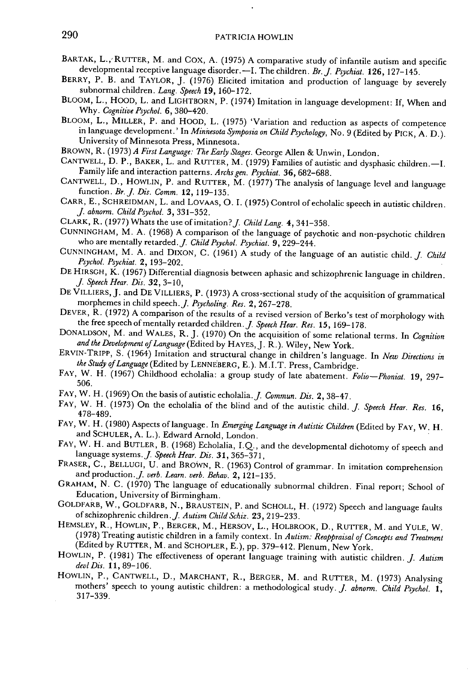- BARTAK, L., RUTTER, M. and COX, A. (1975) A comparative study of infantile autism and specific developmental receptive language disorder,—I, The children, *Br.J. Psychiat.* **126,** 127-145.
- BERRY, P. B. and TAYLOR, J. (1976) Elicited imitation and production of language by severely subnormal children. *Lang. Speech* 19, 160-172.
- BLOOM, L., HOOD, L. and LIGHTBORN, P. (1974) Imitation in language development: If, When and Why. *Cognitive Psychol.* 6, 380-420.
- BLOOM, L., MILLER, P. and HOOD, L. (1975) 'Variation and reduction as aspects of competence in language development,' In *Minnesota Symposia on Child Psychology,* No, 9 (Edited by PICK, A, D,), University of Minnesota Press, Minnesota,
- BROWN, R, *(1973) A First Language: The Early Stages.* George Allen & Unwin, London,
- GANTWELL, D, P,, BAKER, L, and RUTTER, M . (1979) Families of autistic and dysphasic children,—I, Family life and interaction patterns, *Archs gen. Psychiat.* 36, 682-688,
- CANTWELL, D., HOWLIN, P. and RUTTER, M. (1977) The analysis of language level and language function. *Br.J. Dis. Comm.* **12,** 119-135,
- GARR, E., SCHREIDMAN, L. and LOVAAS, O. I. (1975) Control of echolalic speech in autistic children. / *abnorm. Chitd Psychol. 3,* 331-352,
- GLARK, R, (1977) Whats the use of imitation?/ *Child Lang.* 4, 341-358,
- GUNNINGHAM, M, A, (1968) A comparison ofthe language of psychotic and non-psychotic children who are mentally retarded,/ *Child Psychol. Psychiat.* 9, 229-244,
- GUNNINGHAM, M. A. and DIXON, C. (1961) A study of the language of an autistic child. *J. Child* Psychol. Psychiat. 2, 193-202. *Psychol. Psychiat.* 2, 193-202,
- DE HIRSGH, K, (1967) Differential diagnosis between aphasic and schizophrenic language in children / *Speech Hear. Dis.* 32, 3-10,
- DE VILLIERS, J. and DE VILLIERS, P. (1973) A cross-sectional study of the acquisition of grammatical  $\frac{d}{dx}$ morphemes in child speech. *J. Psycholing. Res.* 2, 267-278.
- DEVER, R. (1972) A comparison of the results of a revised version of Berko's test of morphology with the free speech of mentally retarded children. *J. Speech Hear. Res.* 15, 169-178.
- DONALDSON, M. and WALES, R. J. (1970) On the acquisition of some relational terms. In *Cognition* and the Development of Language (Edited by HAYES, J. R.). Wiley, New York. *and the Development of Language {EdkedhyH Ay ES,].* R.). Wiley, New York.
- ERVIN-TRIPP, S. (1964) Imitation and structural change in children's language. In *New Directions in the Study of Language (Edited* by LENNEBERG, E.). M.I.T, Press, Gambridge,
- EAY, W, H , (1967) Ghildhood echolalia: a group study of late abatement. *Folio—Phoniat.* 19, 297-
- FAY, W. H. (1969) On the basis of autistic echolalia. J. Commun. Dis. 2, 38-47. FAY, W. H. (1965) On the basis of autistic echolalia, *J. Commun. Dis.* 2, 38-47,<br>FAY, W. H. (1973) On the echolalia of the blind and of the autistic still.
- FAY, W, H , (1973) On the echolalia of the blind and of the autistic child, / *Speech Hear. Res.* 16,
- FAY, W. H. (1980) Aspects of language. In Emerging Language in Autistic Children (Edited by FAY, W. H. and SGHULER, A, L,), Edward Arnold, London,
- FAY, W. H. and BUTLER, B. (1968) Echolalia, I.Q., and the developmental dichotomy of speech and language systems,/ *Speech Hear. Dis.* 31, 365-371,
- FRASER, G,, BELLUGI, U, and BROWN, R, (1963) Gontrol of grammar. In imitation comprehension and production,/ *verb. Learn, verb. Behav.* 2, 121-135,
- GRAHAM, N, G, (1970) The language of educationally subnormal children. Final report; School of Education, University of Birmingham,
- GOLDFARB, W,, GOLDFARB, N,, BRAUSTEIN, P, and SCHOLL, H, (1972) Speech and language faults of schizophrenic children,/ *Autism Child Schiz.* 23, 219-233,
- HEMSLEY, R., HOWLIN, P., BERGER, M., HERSOV, L., HOLBROOK, D., RUTTER, M. and YULE, W. (1978) Treating autistic children in a family context. In *Autism: Reappraisal of Concepts and Treatment* (Edited by RUTTER, M, and SCHOPLER, E,), pp, 379-412, Plenum, New York,
- HOWLIN, P. (1981) The effectiveness of operant language training with autistic children. *J. Autism devlDis.* 11,89-106,
- HOWLIN, P., CANTWELL, D., MARCHANT, R., BERGER, M. and RUTTER, M. (1973) Analysing mothers' speech to young autistic children: a methodological study. *J. abnorm. Child Psychol.* 1, 317-339,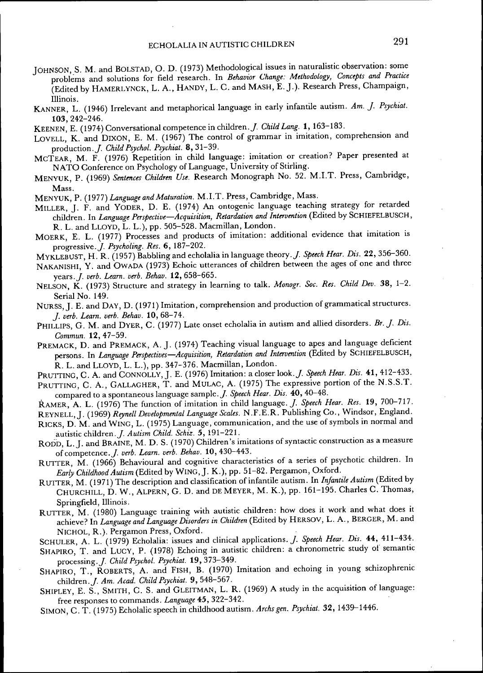- JOHNSON, S, M, and BOLSTAD, O, D, (1973) Methodological issues in naturalistic observation: some problems and solutions for field research. In *Behavior Change: Methodotogy, Concepts and Practice* (Edited by HAMERLYNGK, L, A,, HANDY, L, G, and MASH, E, J,), Research Press, Ghampaign, Illinois,
- KANNER, L, (1946) Irrelevant and metaphorical language in early infantile autism. *Am. J. Psychiat.* **103,**242-246,
- KEENEN, E, (1974) Gonversational competence in children,/ *Child Lang.* 1, 163-183,
- LOVELL, K, and DiXON, E, M, (1967) The control of grammar in imitation, comprehension and production. *J. Child Psychol. Psychiat.* 8, 31-39.
- MCTEAR, M. F. (1976) Repetition in child language: imitation or creation? Paper presented at NATO Gonference on Psychology of Language, University of Stirling,
- MENYUK, P, (1969) *Sentences Children Use.* Research Monograph No, 52, M,I,T, Press, Gambridge, Mass.
- MENYUK, P, *(1977) Language and Maturation.* M,I,T, Press, Gambridge, Mass,
- MILLER, J. F. and YODER, D. E. (1974) An ontogenic language teaching strategy for retarded children. In *Language Perspective*—*Acquisition, Retardation and Intervention* (Edited by SGHIEFELBUSGH, R, L, and LLOYD, L, L,), pp, 505-528, Macmillan, London,
- MOERK, E, L, (1977) Processes and products of imitation: additional evidence that imitation is progressive,/ *Psycholing. Res.* 6, 187-202,
- MYKLEBUST, H. R. (1957) Babbling and echolalia in language theory. *J. Speech Hear. Dis.* 22, 356-360.
- NAKANISHI, Y. and OWADA (1973) Echoic utterances of children between the ages of one and three years,/ *verb. Leam. verb. Behav.* 12, 658-665,
- NELSON, K, (1973) Structure and strategy in learning to talk, *Monogr. Soc. Res. Child Dev.* 38, 1-2, Serial No, 149,
- NURSS, J. E. and DAY, D. (1971) Imitation, comprehension and production of grammatical structures. / *verb. Leam. verb. Behav.* **10,** 68-74,
- PHILLIPS, G. M. and DYER, C. (1977) Late onset echolalia in autism and allied disorders. Br. J. Dis. *Commun.* 12, 47-59,
- PREMACK, D. and PREMACK, A. J. (1974) Teaching visual language to apes and language deficient persons. In *Language Perspectives*—*Acquisition, Retardation and Intervention* (Edited by SGHIEFELBUSGH, R, L, and LLOYD, L, L,), pp, 347-376, Macmillan, London,
- PRUTTING, C. A. and CONNOLLY, J. E. (1976) Imitation: a closer look. *J. Speech Hear. Dis.* 41, 412-433. PRUTTING, C. A., GALLAGHER, T. and MULAC, A. (1975) The expressive portion of the N.S.S.T.
- compared to a spontaneous language sample,/ *Speech Hear. Dis.* 40, 40-48,
- RAMER, A, L, (1976) The function of imitation in child language,/ *Speech Hear. Res.* 19, 700-717,
- REYNELL, J. (1969) Reynell Developmental Language Scales. N.F.E.R. Publishing Co., Windsor, England.
- RiGKS, D, M, and WiNG, L, (1975) Language, communication, and the use of symbols in normal and autistic children,/ *Autism Child. Schiz.* 5, 191-221,
- RODD, L. J. and BRAINE, M. D. S. (1970) Children's imitations of syntactic construction as a measure of competence,/ *verb. Learn, verb. Behav.* 10,430-443,
- RUTTER, M. (1966) Behavioural and cognitive characteristics of a series of psychotic children. In *Early Childhood Autism* (Edited by WiNG, J, K,), pp, 51-82, Pergamon, Oxford,
- RUTTER, M , (1971) The description and classification of infantile autism. In *Infantile Autism* (Edited by GHURGHILL, D , W, , ALPERN, G, D, and DE MEYER, M, K,), pp, 161-195, Gharles G, Thomas, Springfield, Illinois,
- RUTTER, M. (1980) Language training with autistic children: how does it work and what does it achieve? In *Language and Language Disorders in Children* (Edited by HERSOV, L, A,, BERGER, M, and NIGHOL, R,), Pergamon Press, Oxford,
- SCHULER, A. L. (1979) Echolalia: issues and clinical applications. *J. Speech Hear. Dis.* 44, 411-434.
- SHAPIRO, T. and LUCY, P. (1978) Echoing in autistic children: a chronometric study of semantic processing. *J. Child Psychol. Psychiat.* **19,** 373-349.
- SHAPIRO, T., ROBERTS, A. and FISH, B. (1970) Imitation and echoing in young schizophrenic children,/ *Am. Acad. Child Psychiat.* 9, 548-567,
- SHIPLEY, E. S., SMITH, C. S. and GLEITMAN, L. R. (1969) A study in the acquisition of language: free responses to commands. *Language* 45, 322-342,
- SIMON, G, T , (1975) Echolalic speech in childhood autism, *Archs gen. Psychiat.* 32, 1439-1446,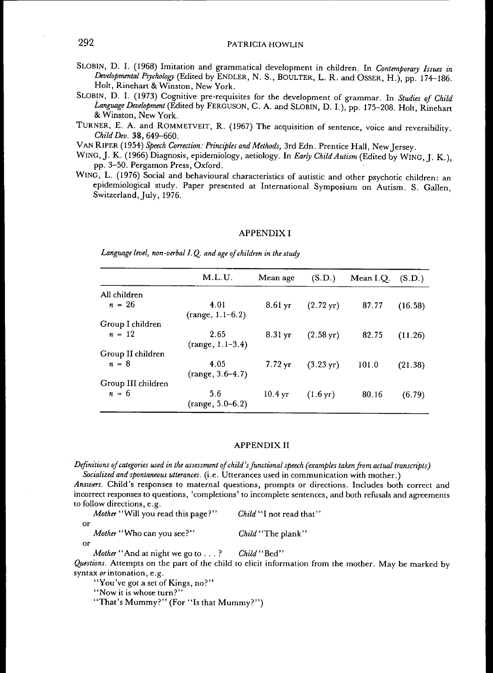- SLOBIN, D. I. (1968) Imitation and grammatical development in children. In Contemporary Issues in *Developmental Psychology* (Edited by ENDLER, N. S., BOULTER, L. R. and OSSER, H.), pp. 174-186. Holt, Rinehart & Winston, New York.
- SLOBIN, D. I. (1973) Cognitive pre-requisites for the development of grammar. In Studies of Child *Language Development* (Edited by FERGUSON, C. A. and SLOBIN, D. I.), pp. 175-208. Holt, Rinehart  $\mathbf{w}$  winston, New York.
- $T_{\text{full}}$  Turner and reversions  $T_{\text{full}}$ , R. (1967) The acquisition of sentence, voice and reversibility *Child Dev.* 38, 649–660.<br>VAN RIPER (1954) Speech Correction: Principles and Methods, 3rd Edn. Prentice Hall, New Jersey.
- 
- VAN RIPER (1954) *Speech Correction: Principles and Methods,* 3rd Edn. Prentice Hall, New Jersey. with 1966) Department of the Children Children of the main of the Children of the Child Authority of the Second Press, Oxford
- WING, L. (1976) Social and behavioural characteristics of autistic and other psychotic children: an epidemiological study. Paper presented at International Symposium on Autism. S. Gallen, Switzerland. July. 1976.

#### APPENDIX I

*Language level, non-verbal I. Q. and age of children in the study*

|                    | M.L.U.                     | Mean age             | (S.D.)                 | Mean I.O. | (S.D.)  |
|--------------------|----------------------------|----------------------|------------------------|-----------|---------|
| All children       |                            |                      |                        |           |         |
| $n = 26$           | 4.01<br>$(range, 1.1-6.2)$ | $8.61 \,\mathrm{yr}$ | $(2.72 \,\mathrm{vr})$ | 87.77     | (16.58) |
| Group I children   |                            |                      |                        |           |         |
| $n = 12$           | 2.65<br>$(range, 1.1-3.4)$ | $8.31 \,\mathrm{yr}$ | $(2.58 \,\mathrm{yr})$ | 82.75     | (11.26) |
| Group II children  |                            |                      |                        |           |         |
| $n = 8$            | 4.05<br>$(range, 3.6-4.7)$ | $7.72 \,\mathrm{yr}$ | $(3.23 \,\text{yr})$   | 101.0     | (21.38) |
| Group III children |                            |                      |                        |           |         |
| $n = 6$            | 5.6<br>$(range, 5.0-6.2)$  | 10.4 <sub>yr</sub>   | $(1.6 \,\text{yr})$    | 80.16     | (6.79)  |

#### APPENDIX II

*Definitions of categories used in the assessment of child's functional speech (examples taken from actual transcripts) Socialized and spontaneous utterances,* (i.e. Utterances used in communication with mother.)

*Answers.* Child's responses to maternal questions, prompts or directions. Includes both correct and incorrect responses to questions, 'completions' to incomplete sentences, and both refusals and agreements to follow directions, e.g.

|    | Mother "Will you read this page?" | Child "I not read that" |
|----|-----------------------------------|-------------------------|
| or | Mother "Who can you see?"         | Child "The plank"       |

or

*Questions.* Attempts on the part of the child to elicit information from the mother. May be marked by syntax or intonation, e.g.

"You've got a set of Kings, no?"

'' Now it is whose turn ? "

"That's Mummy?" (For "Is that Mummy?")

*Mother ''* And at night we go to . . . ? *Child'*' Bed''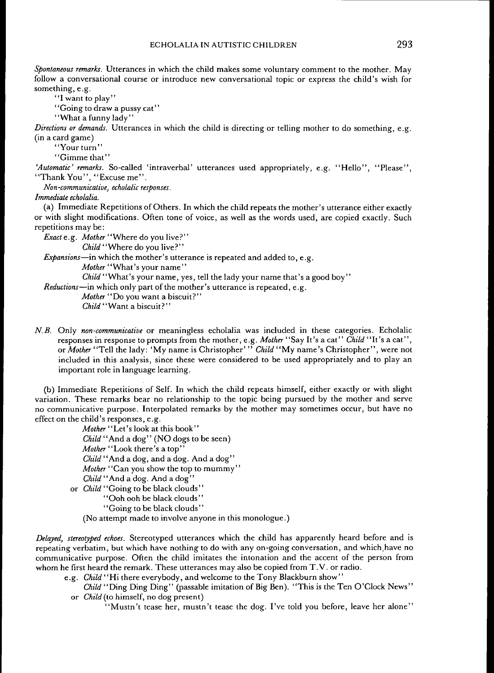*Spontaneous remarks.* Utterances in which the child makes some voluntary comment to the mother. May follow a conversational course or introduce new conversational topic or express the child's wish for something, e.g.

"I want to play"

"Going to draw a pussy cat"

"What a funny lady"

*Directions or demands.* Utterances in which the child is directing or telling mother to do something, e.g. (in a card game)

"Your turn"

"Gimme that"

*'Automatic' remarks.* So-called 'intraverbal' utterances used appropriately, e.g. "Hello", "Please", "Thank You", "Excuse me".

*Non-communicative, echolalic responses.*

*Immediate echolalia.*

(a) Immediate Repetitions of Others. In which the child repeats the mother's utterance either exactly or with slight modifications. Often tone of voice, as well as the words used, are copied exactly. Such repetitions may be:

*Exacte.g. Mother* "Where do you live?"

*Child "Where* do you live? "

*Expansions*—in which the mother's utterance is repeated and added to, e.g.

*Mother* "What's your name"

Child "What's your name, yes, tell the lady your name that's a good boy"

*Reductions*—in which only part of the mother's utterance is repeated, e.g.

*Mother* "Do you want a biscuit?" *Child "Want* a biscuit?"

*N.B.* Only *non-communicative* or meaningless echolalia was included in these categories. Echolalic responses in response to prompts from the mother, e.g. *Mother "Say* It's a cat" *Child* "It's a cat", *or Mother* "Tell the lady: 'My name is Christopher' " *Child "My* name's Ghristopher", were not included in this analysis, since these were considered to be used appropriately and to play an important role in language learning.

(b) Immediate Repetitions of Self. In which the child repeats himself, either exactly or with slight variation. These remarks bear no relationship to the topic being pursued by the mother and serve no communicative purpose. Interpolated remarks by the mother may sometimes occur, but have no effect on the child's responses, e.g.

*Mother "Let's* look at this book" *Child "And a* dog" (NO dogs to be seen) *Mother "Look* there's a top" *Child* "And a dog, and a dog. And a dog" *Mother* "Can you show the top to mummy" *Child" And a* dog. And a dog" or *Child* "Going to be black clouds" ' 'Ooh ooh be black clouds'' '' Going to be black clouds "

(No attempt made to involve anyone in this monologue.)

*Delayed, stereotyped echoes.* Stereotyped utterances which the child has apparently heard before and is repeating verbatim, but which have nothing to do with any on-going conversation, and which have no communicative purpose. Often the child imitates the intonation and the accent of the person from whom he first heard the remark. These utterances may also be copied from T.V. or radio.

e.g. *Child* "Hi there everybody, and welcome to the Tony Blackburn show"

*Child* "Ding Ding Ding" (passable imitation of Big Ben). "This is the Ten O'Clock News" or *Child* (to himself, no dog present)

"Mustn't tease her, mustn't tease the dog. I've told you before, leave her alone"